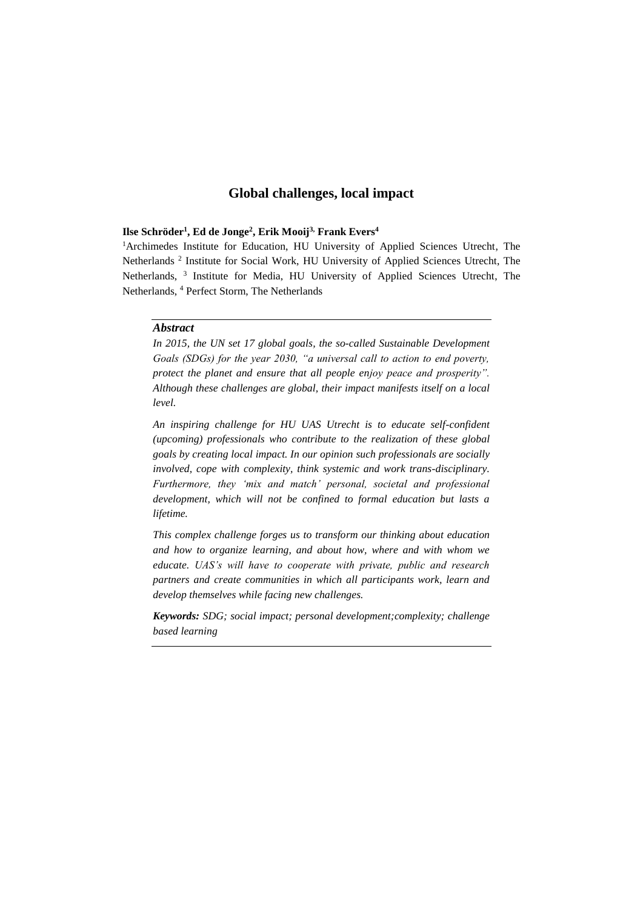### **Ilse Schröder<sup>1</sup> , Ed de Jonge<sup>2</sup> , Erik Mooij3, Frank Evers<sup>4</sup>**

<sup>1</sup>Archimedes Institute for Education, HU University of Applied Sciences Utrecht, The Netherlands<sup>2</sup> Institute for Social Work, HU University of Applied Sciences Utrecht, The Netherlands, <sup>3</sup> Institute for Media, HU University of Applied Sciences Utrecht, The Netherlands, <sup>4</sup> Perfect Storm, The Netherlands

# *Abstract*

*In 2015, the UN set 17 global goals, the so-called Sustainable Development Goals (SDGs) for the year 2030, "a universal call to action to end poverty, protect the planet and ensure that all people enjoy peace and prosperity". Although these challenges are global, their impact manifests itself on a local level.* 

*An inspiring challenge for HU UAS Utrecht is to educate self-confident (upcoming) professionals who contribute to the realization of these global goals by creating local impact. In our opinion such professionals are socially involved, cope with complexity, think systemic and work trans-disciplinary. Furthermore, they 'mix and match' personal, societal and professional development, which will not be confined to formal education but lasts a lifetime.*

*This complex challenge forges us to transform our thinking about education and how to organize learning, and about how, where and with whom we educate. UAS's will have to cooperate with private, public and research partners and create communities in which all participants work, learn and develop themselves while facing new challenges.*

*Keywords: SDG; social impact; personal development;complexity; challenge based learning*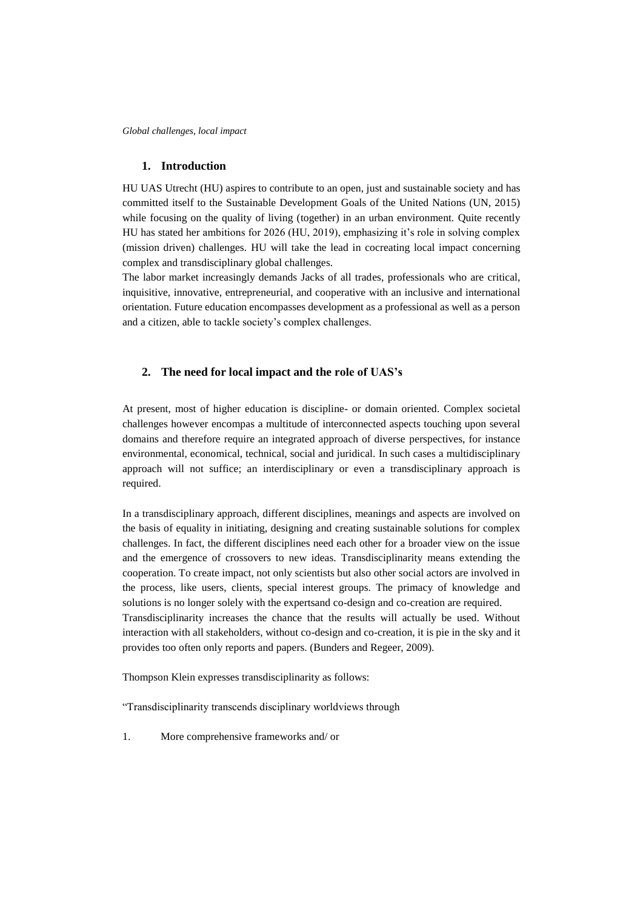### **1. Introduction**

HU UAS Utrecht (HU) aspires to contribute to an open, just and sustainable society and has committed itself to the Sustainable Development Goals of the United Nations (UN, 2015) while focusing on the quality of living (together) in an urban environment. Quite recently HU has stated her ambitions for 2026 (HU, 2019), emphasizing it's role in solving complex (mission driven) challenges. HU will take the lead in cocreating local impact concerning complex and transdisciplinary global challenges.

The labor market increasingly demands Jacks of all trades, professionals who are critical, inquisitive, innovative, entrepreneurial, and cooperative with an inclusive and international orientation. Future education encompasses development as a professional as well as a person and a citizen, able to tackle society's complex challenges.

## **2. The need for local impact and the role of UAS's**

At present, most of higher education is discipline- or domain oriented. Complex societal challenges however encompas a multitude of interconnected aspects touching upon several domains and therefore require an integrated approach of diverse perspectives, for instance environmental, economical, technical, social and juridical. In such cases a multidisciplinary approach will not suffice; an interdisciplinary or even a transdisciplinary approach is required.

In a transdisciplinary approach, different disciplines, meanings and aspects are involved on the basis of equality in initiating, designing and creating sustainable solutions for complex challenges. In fact, the different disciplines need each other for a broader view on the issue and the emergence of crossovers to new ideas. Transdisciplinarity means extending the cooperation. To create impact, not only scientists but also other social actors are involved in the process, like users, clients, special interest groups. The primacy of knowledge and solutions is no longer solely with the expertsand co-design and co-creation are required. Transdisciplinarity increases the chance that the results will actually be used. Without interaction with all stakeholders, without co-design and co-creation, it is pie in the sky and it provides too often only reports and papers. (Bunders and Regeer, 2009).

Thompson Klein expresses transdisciplinarity as follows:

"Transdisciplinarity transcends disciplinary worldviews through

1. More comprehensive frameworks and/ or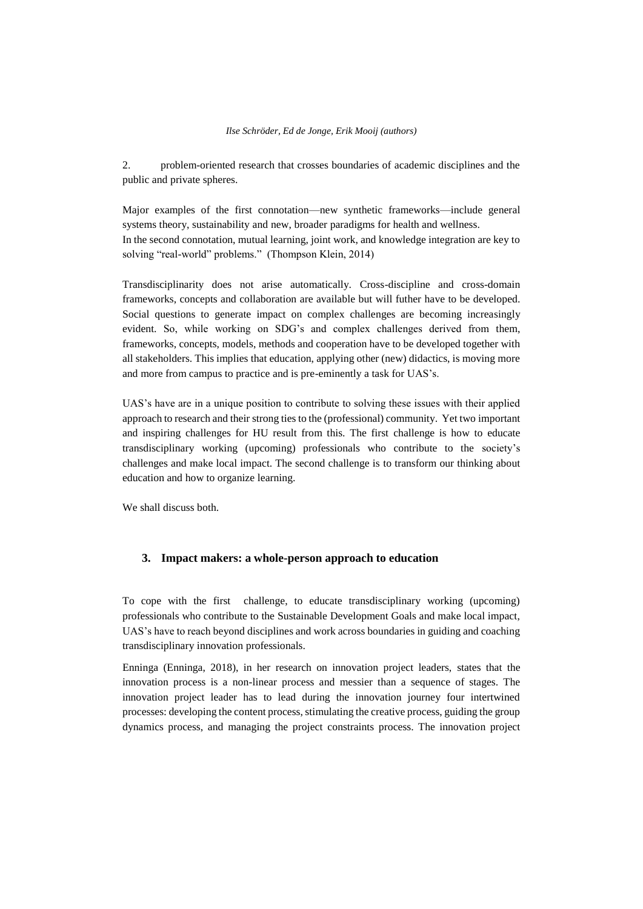#### *Ilse Schröder, Ed de Jonge, Erik Mooij (authors)*

2. problem-oriented research that crosses boundaries of academic disciplines and the public and private spheres.

Major examples of the first connotation—new synthetic frameworks—include general systems theory, sustainability and new, broader paradigms for health and wellness. In the second connotation, mutual learning, joint work, and knowledge integration are key to solving "real-world" problems." (Thompson Klein, 2014)

Transdisciplinarity does not arise automatically. Cross-discipline and cross-domain frameworks, concepts and collaboration are available but will futher have to be developed. Social questions to generate impact on complex challenges are becoming increasingly evident. So, while working on SDG's and complex challenges derived from them, frameworks, concepts, models, methods and cooperation have to be developed together with all stakeholders. This implies that education, applying other (new) didactics, is moving more and more from campus to practice and is pre-eminently a task for UAS's.

UAS's have are in a unique position to contribute to solving these issues with their applied approach to research and their strong ties to the (professional) community. Yet two important and inspiring challenges for HU result from this. The first challenge is how to educate transdisciplinary working (upcoming) professionals who contribute to the society's challenges and make local impact. The second challenge is to transform our thinking about education and how to organize learning.

We shall discuss both.

## **3. Impact makers: a whole-person approach to education**

To cope with the first challenge, to educate transdisciplinary working (upcoming) professionals who contribute to the Sustainable Development Goals and make local impact, UAS's have to reach beyond disciplines and work across boundaries in guiding and coaching transdisciplinary innovation professionals.

Enninga (Enninga, 2018), in her research on innovation project leaders, states that the innovation process is a non-linear process and messier than a sequence of stages. The innovation project leader has to lead during the innovation journey four intertwined processes: developing the content process, stimulating the creative process, guiding the group dynamics process, and managing the project constraints process. The innovation project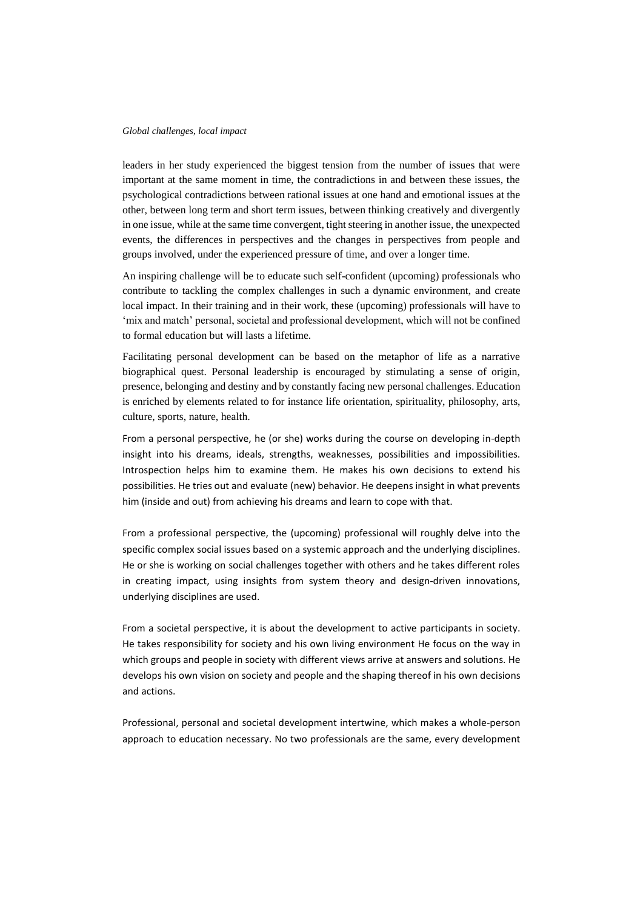leaders in her study experienced the biggest tension from the number of issues that were important at the same moment in time, the contradictions in and between these issues, the psychological contradictions between rational issues at one hand and emotional issues at the other, between long term and short term issues, between thinking creatively and divergently in one issue, while at the same time convergent, tight steering in another issue, the unexpected events, the differences in perspectives and the changes in perspectives from people and groups involved, under the experienced pressure of time, and over a longer time.

An inspiring challenge will be to educate such self-confident (upcoming) professionals who contribute to tackling the complex challenges in such a dynamic environment, and create local impact. In their training and in their work, these (upcoming) professionals will have to 'mix and match' personal, societal and professional development, which will not be confined to formal education but will lasts a lifetime.

Facilitating personal development can be based on the metaphor of life as a narrative biographical quest. Personal leadership is encouraged by stimulating a sense of origin, presence, belonging and destiny and by constantly facing new personal challenges. Education is enriched by elements related to for instance life orientation, spirituality, philosophy, arts, culture, sports, nature, health.

From a personal perspective, he (or she) works during the course on developing in-depth insight into his dreams, ideals, strengths, weaknesses, possibilities and impossibilities. Introspection helps him to examine them. He makes his own decisions to extend his possibilities. He tries out and evaluate (new) behavior. He deepens insight in what prevents him (inside and out) from achieving his dreams and learn to cope with that.

From a professional perspective, the (upcoming) professional will roughly delve into the specific complex social issues based on a systemic approach and the underlying disciplines. He or she is working on social challenges together with others and he takes different roles in creating impact, using insights from system theory and design-driven innovations, underlying disciplines are used.

From a societal perspective, it is about the development to active participants in society. He takes responsibility for society and his own living environment He focus on the way in which groups and people in society with different views arrive at answers and solutions. He develops his own vision on society and people and the shaping thereof in his own decisions and actions.

Professional, personal and societal development intertwine, which makes a whole-person approach to education necessary. No two professionals are the same, every development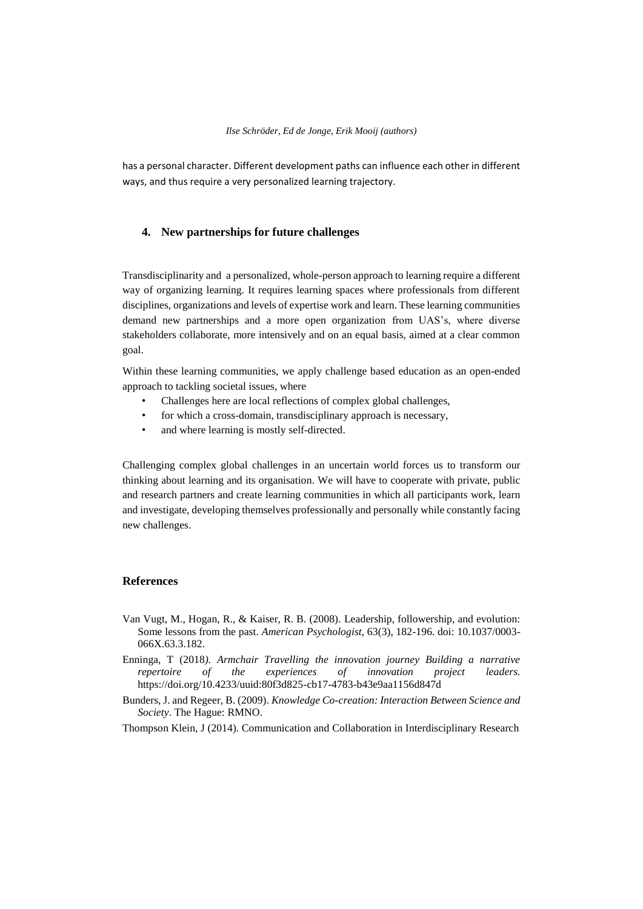#### *Ilse Schröder, Ed de Jonge, Erik Mooij (authors)*

has a personal character. Different development paths can influence each other in different ways, and thus require a very personalized learning trajectory.

## **4. New partnerships for future challenges**

Transdisciplinarity and a personalized, whole-person approach to learning require a different way of organizing learning. It requires learning spaces where professionals from different disciplines, organizations and levels of expertise work and learn. These learning communities demand new partnerships and a more open organization from UAS's, where diverse stakeholders collaborate, more intensively and on an equal basis, aimed at a clear common goal.

Within these learning communities, we apply challenge based education as an open-ended approach to tackling societal issues, where

- Challenges here are local reflections of complex global challenges,
- for which a cross-domain, transdisciplinary approach is necessary,
- and where learning is mostly self-directed.

Challenging complex global challenges in an uncertain world forces us to transform our thinking about learning and its organisation. We will have to cooperate with private, public and research partners and create learning communities in which all participants work, learn and investigate, developing themselves professionally and personally while constantly facing new challenges.

### **References**

- Van Vugt, M., Hogan, R., & Kaiser, R. B. (2008). Leadership, followership, and evolution: Some lessons from the past. *American Psychologist*, 63(3), 182-196. doi: 10.1037/0003- 066X.63.3.182.
- Enninga, T (2018*). Armchair Travelling the innovation journey Building a narrative repertoire of the experiences of innovation project leaders.*  https://doi.org/10.4233/uuid:80f3d825-cb17-4783-b43e9aa1156d847d
- Bunders, J. and Regeer, B. (2009). *Knowledge Co-creation: Interaction Between Science and Society*. The Hague: RMNO.
- Thompson Klein, J (2014). Communication and Collaboration in Interdisciplinary Research